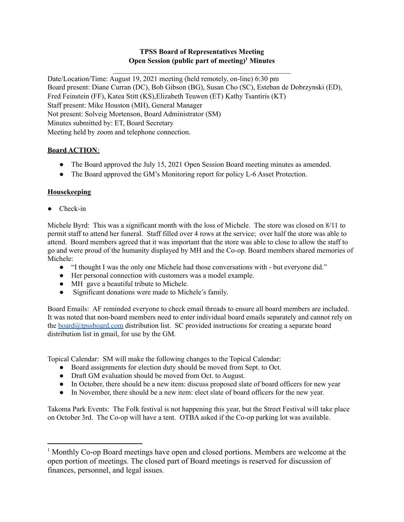## **TPSS Board of Representatives Meeting Open Session (public part of meeting) <sup>1</sup> Minutes**

 $\mathcal{L}_\text{max}$  and the contract of the contract of the contract of the contract of the contract of the contract of the contract of the contract of the contract of the contract of the contract of the contract of the contrac

Date/Location/Time: August 19, 2021 meeting (held remotely, on-line) 6:30 pm Board present: Diane Curran (DC), Bob Gibson (BG), Susan Cho (SC), Esteban de Dobrzynski (ED), Fred Feinstein (FF), Katea Stitt (KS),Elizabeth Teuwen (ET) Kathy Tsantiris (KT) Staff present: Mike Houston (MH), General Manager Not present: Solveig Mortenson, Board Administrator (SM) Minutes submitted by: ET, Board Secretary Meeting held by zoom and telephone connection.

# **Board ACTION**:

- The Board approved the July 15, 2021 Open Session Board meeting minutes as amended.
- The Board approved the GM's Monitoring report for policy L-6 Asset Protection.

# **Housekeeping**

● Check-in

Michele Byrd: This was a significant month with the loss of Michele. The store was closed on 8/11 to permit staff to attend her funeral. Staff filled over 4 rows at the service; over half the store was able to attend. Board members agreed that it was important that the store was able to close to allow the staff to go and were proud of the humanity displayed by MH and the Co-op. Board members shared memories of Michele:

- "I thought I was the only one Michele had those conversations with but everyone did."
- Her personal connection with customers was a model example.
- MH gave a beautiful tribute to Michele.
- Significant donations were made to Michele's family.

Board Emails: AF reminded everyone to check email threads to ensure all board members are included. It was noted that non-board members need to enter individual board emails separately and cannot rely on the [board@tpssboard.com](mailto:board@tpssboard.com) distribution list. SC provided instructions for creating a separate board distribution list in gmail, for use by the GM.

Topical Calendar: SM will make the following changes to the Topical Calendar:

- Board assignments for election duty should be moved from Sept. to Oct.
- Draft GM evaluation should be moved from Oct. to August.
- In October, there should be a new item: discuss proposed slate of board officers for new year
- In November, there should be a new item: elect slate of board officers for the new year.

Takoma Park Events: The Folk festival is not happening this year, but the Street Festival will take place on October 3rd. The Co-op will have a tent. OTBA asked if the Co-op parking lot was available.

<sup>1</sup> Monthly Co-op Board meetings have open and closed portions. Members are welcome at the open portion of meetings. The closed part of Board meetings is reserved for discussion of finances, personnel, and legal issues.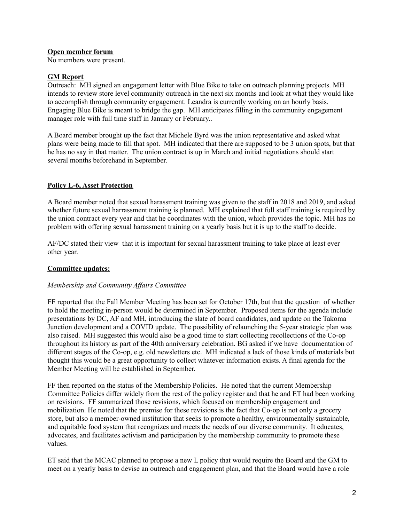### **Open member forum**

No members were present.

### **GM Report**

Outreach: MH signed an engagement letter with Blue Bike to take on outreach planning projects. MH intends to review store level community outreach in the next six months and look at what they would like to accomplish through community engagement. Leandra is currently working on an hourly basis. Engaging Blue Bike is meant to bridge the gap. MH anticipates filling in the community engagement manager role with full time staff in January or February..

A Board member brought up the fact that Michele Byrd was the union representative and asked what plans were being made to fill that spot. MH indicated that there are supposed to be 3 union spots, but that he has no say in that matter. The union contract is up in March and initial negotiations should start several months beforehand in September.

## **Policy L-6, Asset Protection**

A Board member noted that sexual harassment training was given to the staff in 2018 and 2019, and asked whether future sexual harrassment training is planned. MH explained that full staff training is required by the union contract every year and that he coordinates with the union, which provides the topic. MH has no problem with offering sexual harassment training on a yearly basis but it is up to the staff to decide.

AF/DC stated their view that it is important for sexual harassment training to take place at least ever other year.

## **Committee updates:**

#### *Membership and Community Af airs Committee*

FF reported that the Fall Member Meeting has been set for October 17th, but that the question of whether to hold the meeting in-person would be determined in September. Proposed items for the agenda include presentations by DC, AF and MH, introducing the slate of board candidates, and update on the Takoma Junction development and a COVID update. The possibility of relaunching the 5-year strategic plan was also raised. MH suggested this would also be a good time to start collecting recollections of the Co-op throughout its history as part of the 40th anniversary celebration. BG asked if we have documentation of different stages of the Co-op, e.g. old newsletters etc. MH indicated a lack of those kinds of materials but thought this would be a great opportunity to collect whatever information exists. A final agenda for the Member Meeting will be established in September.

FF then reported on the status of the Membership Policies. He noted that the current Membership Committee Policies differ widely from the rest of the policy register and that he and ET had been working on revisions. FF summarized those revisions, which focused on membership engagement and mobilization. He noted that the premise for these revisions is the fact that Co-op is not only a grocery store, but also a member-owned institution that seeks to promote a healthy, environmentally sustainable, and equitable food system that recognizes and meets the needs of our diverse community. It educates, advocates, and facilitates activism and participation by the membership community to promote these values.

ET said that the MCAC planned to propose a new L policy that would require the Board and the GM to meet on a yearly basis to devise an outreach and engagement plan, and that the Board would have a role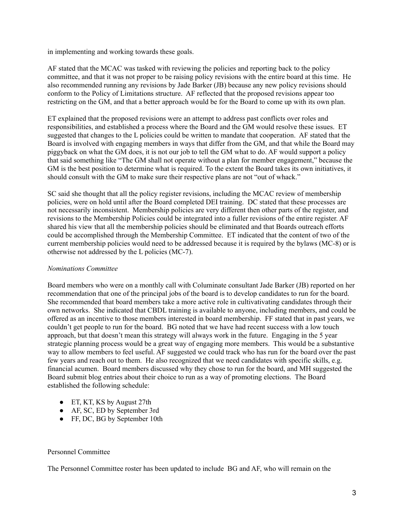in implementing and working towards these goals.

AF stated that the MCAC was tasked with reviewing the policies and reporting back to the policy committee, and that it was not proper to be raising policy revisions with the entire board at this time. He also recommended running any revisions by Jade Barker (JB) because any new policy revisions should conform to the Policy of Limitations structure. AF reflected that the proposed revisions appear too restricting on the GM, and that a better approach would be for the Board to come up with its own plan.

ET explained that the proposed revisions were an attempt to address past conflicts over roles and responsibilities, and established a process where the Board and the GM would resolve these issues. ET suggested that changes to the L policies could be written to mandate that cooperation. AF stated that the Board is involved with engaging members in ways that differ from the GM, and that while the Board may piggyback on what the GM does, it is not our job to tell the GM what to do. AF would support a policy that said something like "The GM shall not operate without a plan for member engagement," because the GM is the best position to determine what is required. To the extent the Board takes its own initiatives, it should consult with the GM to make sure their respective plans are not "out of whack."

SC said she thought that all the policy register revisions, including the MCAC review of membership policies, were on hold until after the Board completed DEI training. DC stated that these processes are not necessarily inconsistent. Membership policies are very different then other parts of the register, and revisions to the Membership Policies could be integrated into a fuller revisions of the entire register. AF shared his view that all the membership policies should be eliminated and that Boards outreach efforts could be accomplished through the Membership Committee. ET indicated that the content of two of the current membership policies would need to be addressed because it is required by the bylaws (MC-8) or is otherwise not addressed by the L policies (MC-7).

#### *Nominations Committee*

Board members who were on a monthly call with Columinate consultant Jade Barker (JB) reported on her recommendation that one of the principal jobs of the board is to develop candidates to run for the board. She recommended that board members take a more active role in cultivativating candidates through their own networks. She indicated that CBDL training is available to anyone, including members, and could be offered as an incentive to those members interested in board membership. FF stated that in past years, we couldn't get people to run for the board. BG noted that we have had recent success with a low touch approach, but that doesn't mean this strategy will always work in the future. Engaging in the 5 year strategic planning process would be a great way of engaging more members. This would be a substantive way to allow members to feel useful. AF suggested we could track who has run for the board over the past few years and reach out to them. He also recognized that we need candidates with specific skills, e.g. financial acumen. Board members discussed why they chose to run for the board, and MH suggested the Board submit blog entries about their choice to run as a way of promoting elections. The Board established the following schedule:

- ET, KT, KS by August 27th
- AF, SC, ED by September 3rd
- FF, DC, BG by September 10th

#### Personnel Committee

The Personnel Committee roster has been updated to include BG and AF, who will remain on the